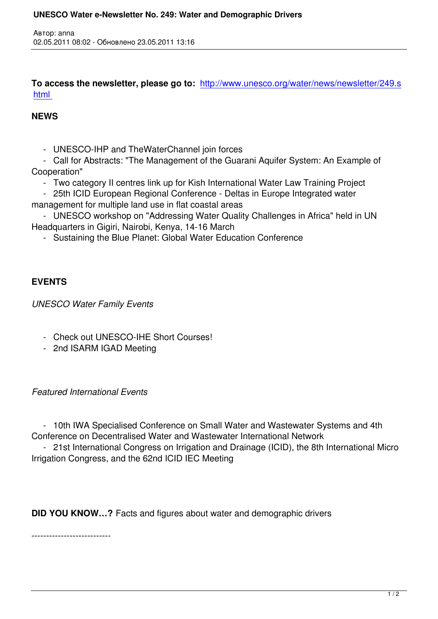**To access the newsletter, please go to:** http://www.unesco.org/water/news/newsletter/249.s html

## **NEWS**

Автор: anna

- UNESCO-IHP and TheWaterChannel join forces

 - Call for Abstracts: "The Management of the Guarani Aquifer System: An Example of Cooperation"

- Two category II centres link up for Kish International Water Law Training Project

 - 25th ICID European Regional Conference - Deltas in Europe Integrated water management for multiple land use in flat coastal areas

 - UNESCO workshop on "Addressing Water Quality Challenges in Africa" held in UN Headquarters in Gigiri, Nairobi, Kenya, 14-16 March

- Sustaining the Blue Planet: Global Water Education Conference

## **EVENTS**

*UNESCO Water Family Events*

- Check out UNESCO-IHE Short Courses!
- 2nd ISARM IGAD Meeting

## *Featured International Events*

 - 10th IWA Specialised Conference on Small Water and Wastewater Systems and 4th Conference on Decentralised Water and Wastewater International Network

 - 21st International Congress on Irrigation and Drainage (ICID), the 8th International Micro Irrigation Congress, and the 62nd ICID IEC Meeting

**DID YOU KNOW…?** Facts and figures about water and demographic drivers

---------------------------